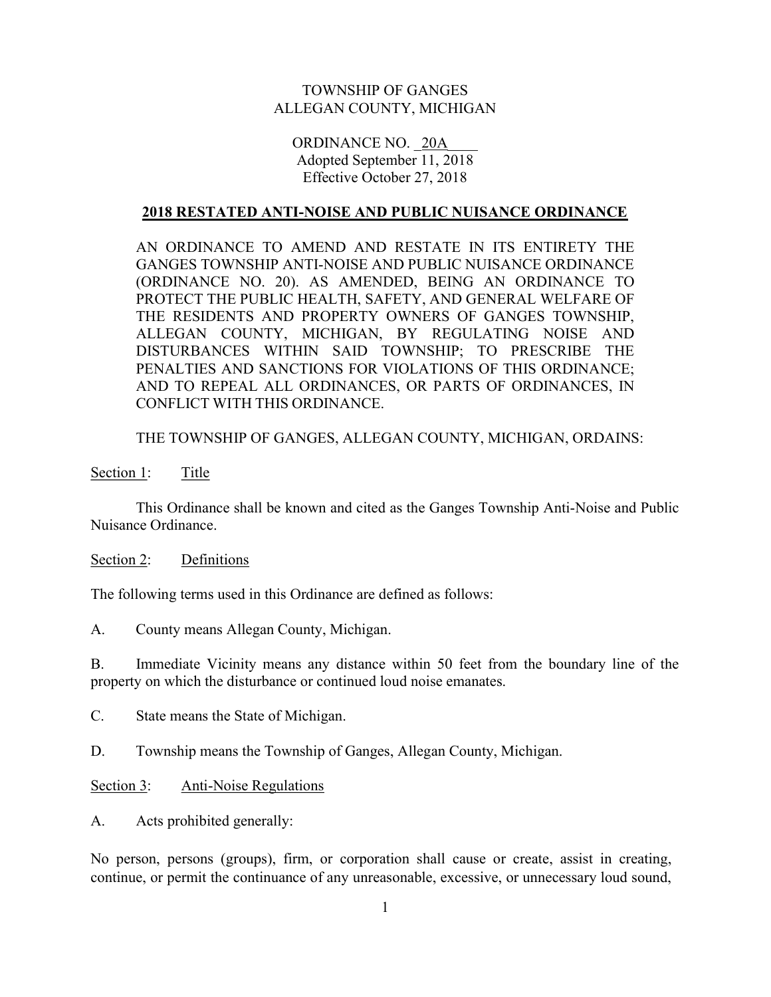# TOWNSHIP OF GANGES ALLEGAN COUNTY, MICHIGAN

## ORDINANCE NO. 20A Adopted September 11, 2018 Effective October 27, 2018

#### 2018 RESTATED ANTI-NOISE AND PUBLIC NUISANCE ORDINANCE

 AN ORDINANCE TO AMEND AND RESTATE IN ITS ENTIRETY THE GANGES TOWNSHIP ANTI-NOISE AND PUBLIC NUISANCE ORDINANCE (ORDINANCE NO. 20). AS AMENDED, BEING AN ORDINANCE TO PROTECT THE PUBLIC HEALTH, SAFETY, AND GENERAL WELFARE OF THE RESIDENTS AND PROPERTY OWNERS OF GANGES TOWNSHIP, ALLEGAN COUNTY, MICHIGAN, BY REGULATING NOISE AND DISTURBANCES WITHIN SAID TOWNSHIP; TO PRESCRIBE THE PENALTIES AND SANCTIONS FOR VIOLATIONS OF THIS ORDINANCE; AND TO REPEAL ALL ORDINANCES, OR PARTS OF ORDINANCES, IN CONFLICT WITH THIS ORDINANCE.

THE TOWNSHIP OF GANGES, ALLEGAN COUNTY, MICHIGAN, ORDAINS:

Section 1: Title

 This Ordinance shall be known and cited as the Ganges Township Anti-Noise and Public Nuisance Ordinance.

Section 2: Definitions

The following terms used in this Ordinance are defined as follows:

A. County means Allegan County, Michigan.

B. Immediate Vicinity means any distance within 50 feet from the boundary line of the property on which the disturbance or continued loud noise emanates.

C. State means the State of Michigan.

D. Township means the Township of Ganges, Allegan County, Michigan.

Section 3: Anti-Noise Regulations

A. Acts prohibited generally:

No person, persons (groups), firm, or corporation shall cause or create, assist in creating, continue, or permit the continuance of any unreasonable, excessive, or unnecessary loud sound,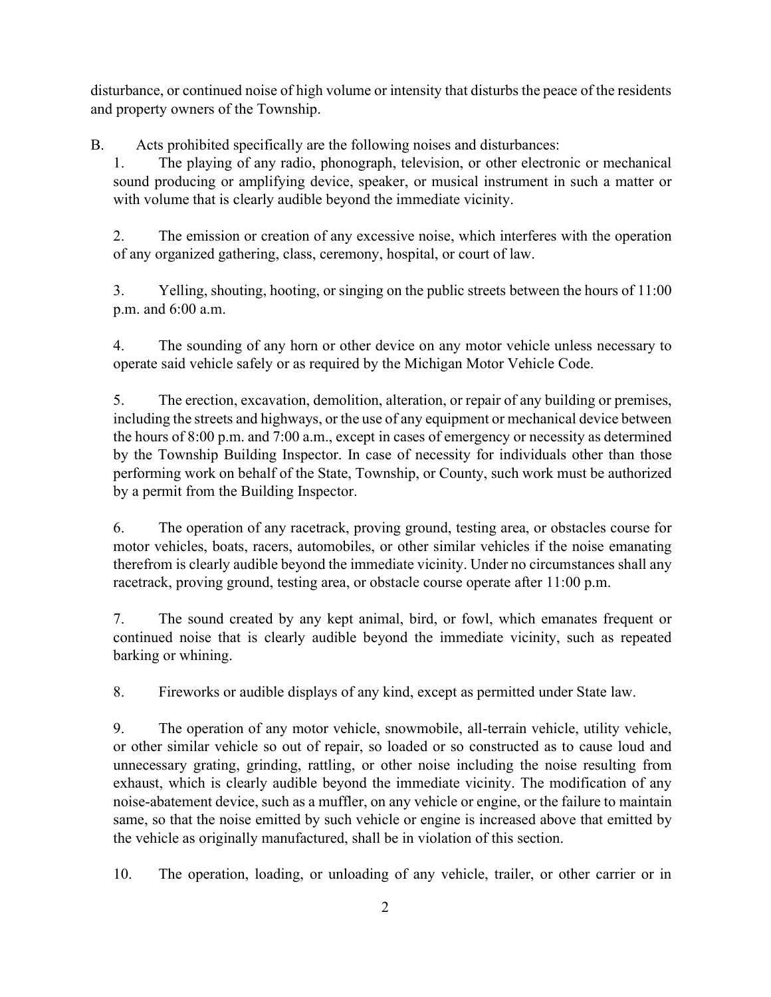disturbance, or continued noise of high volume or intensity that disturbs the peace of the residents and property owners of the Township.

B. Acts prohibited specifically are the following noises and disturbances:

1. The playing of any radio, phonograph, television, or other electronic or mechanical sound producing or amplifying device, speaker, or musical instrument in such a matter or with volume that is clearly audible beyond the immediate vicinity.

2. The emission or creation of any excessive noise, which interferes with the operation of any organized gathering, class, ceremony, hospital, or court of law.

3. Yelling, shouting, hooting, or singing on the public streets between the hours of 11:00 p.m. and 6:00 a.m.

4. The sounding of any horn or other device on any motor vehicle unless necessary to operate said vehicle safely or as required by the Michigan Motor Vehicle Code.

5. The erection, excavation, demolition, alteration, or repair of any building or premises, including the streets and highways, or the use of any equipment or mechanical device between the hours of 8:00 p.m. and 7:00 a.m., except in cases of emergency or necessity as determined by the Township Building Inspector. In case of necessity for individuals other than those performing work on behalf of the State, Township, or County, such work must be authorized by a permit from the Building Inspector.

6. The operation of any racetrack, proving ground, testing area, or obstacles course for motor vehicles, boats, racers, automobiles, or other similar vehicles if the noise emanating therefrom is clearly audible beyond the immediate vicinity. Under no circumstances shall any racetrack, proving ground, testing area, or obstacle course operate after 11:00 p.m.

7. The sound created by any kept animal, bird, or fowl, which emanates frequent or continued noise that is clearly audible beyond the immediate vicinity, such as repeated barking or whining.

8. Fireworks or audible displays of any kind, except as permitted under State law.

9. The operation of any motor vehicle, snowmobile, all-terrain vehicle, utility vehicle, or other similar vehicle so out of repair, so loaded or so constructed as to cause loud and unnecessary grating, grinding, rattling, or other noise including the noise resulting from exhaust, which is clearly audible beyond the immediate vicinity. The modification of any noise-abatement device, such as a muffler, on any vehicle or engine, or the failure to maintain same, so that the noise emitted by such vehicle or engine is increased above that emitted by the vehicle as originally manufactured, shall be in violation of this section.

10. The operation, loading, or unloading of any vehicle, trailer, or other carrier or in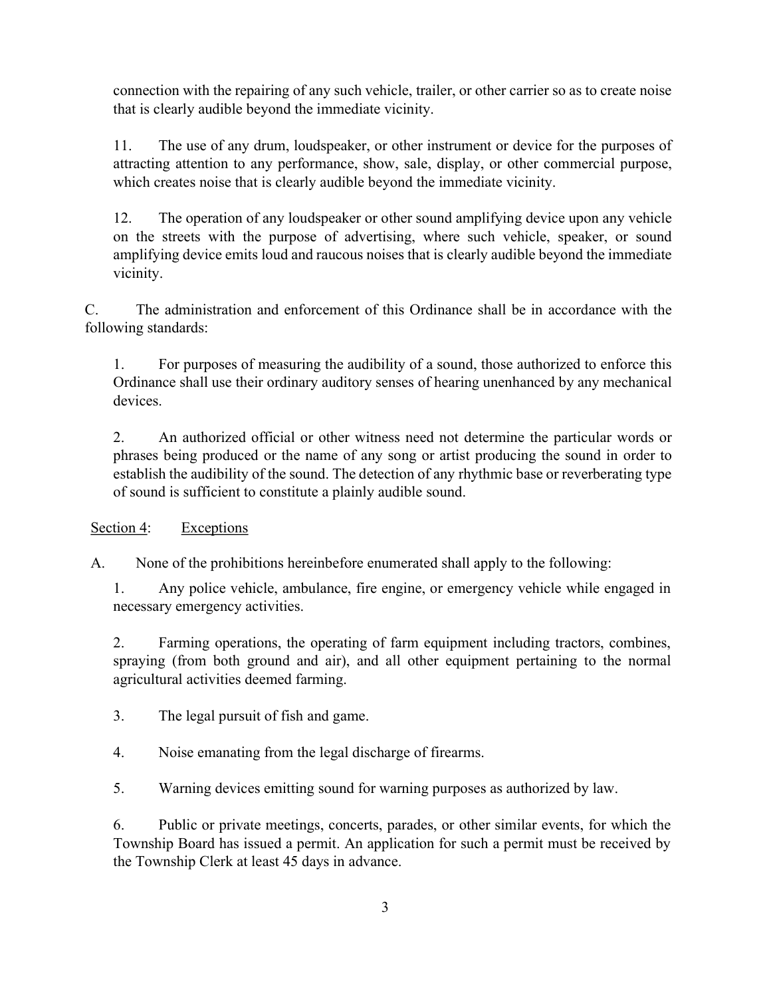connection with the repairing of any such vehicle, trailer, or other carrier so as to create noise that is clearly audible beyond the immediate vicinity.

11. The use of any drum, loudspeaker, or other instrument or device for the purposes of attracting attention to any performance, show, sale, display, or other commercial purpose, which creates noise that is clearly audible beyond the immediate vicinity.

12. The operation of any loudspeaker or other sound amplifying device upon any vehicle on the streets with the purpose of advertising, where such vehicle, speaker, or sound amplifying device emits loud and raucous noises that is clearly audible beyond the immediate vicinity.

C. The administration and enforcement of this Ordinance shall be in accordance with the following standards:

1. For purposes of measuring the audibility of a sound, those authorized to enforce this Ordinance shall use their ordinary auditory senses of hearing unenhanced by any mechanical devices.

2. An authorized official or other witness need not determine the particular words or phrases being produced or the name of any song or artist producing the sound in order to establish the audibility of the sound. The detection of any rhythmic base or reverberating type of sound is sufficient to constitute a plainly audible sound.

Section 4: Exceptions

A. None of the prohibitions hereinbefore enumerated shall apply to the following:

1. Any police vehicle, ambulance, fire engine, or emergency vehicle while engaged in necessary emergency activities.

2. Farming operations, the operating of farm equipment including tractors, combines, spraying (from both ground and air), and all other equipment pertaining to the normal agricultural activities deemed farming.

3. The legal pursuit of fish and game.

4. Noise emanating from the legal discharge of firearms.

5. Warning devices emitting sound for warning purposes as authorized by law.

6. Public or private meetings, concerts, parades, or other similar events, for which the Township Board has issued a permit. An application for such a permit must be received by the Township Clerk at least 45 days in advance.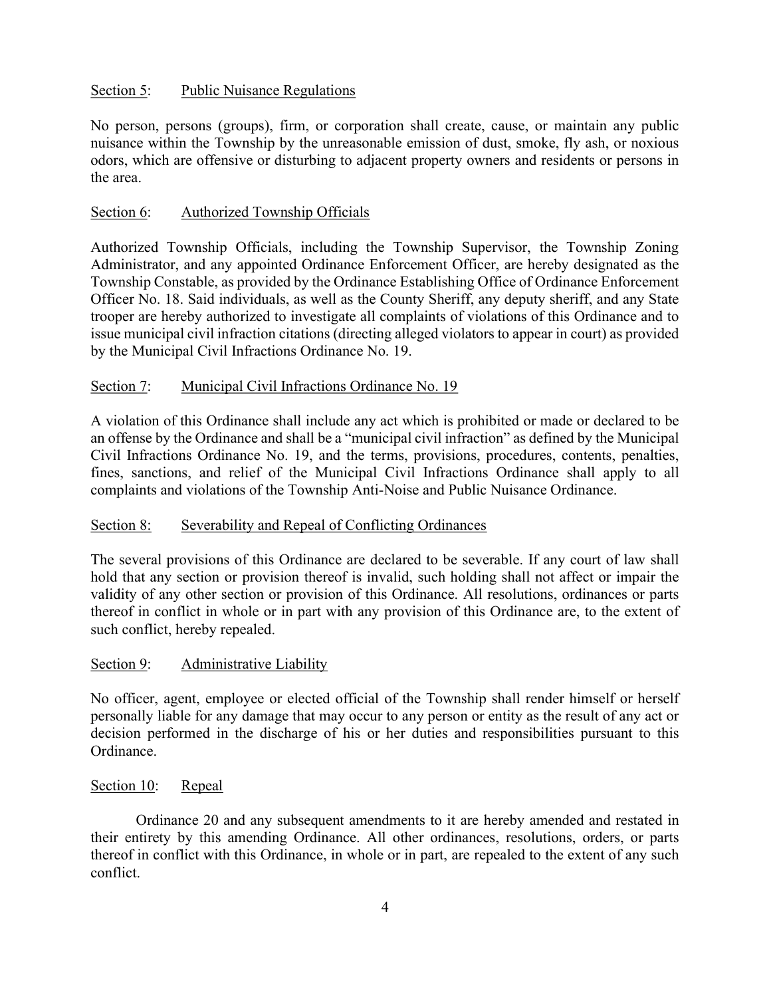# Section 5: Public Nuisance Regulations

No person, persons (groups), firm, or corporation shall create, cause, or maintain any public nuisance within the Township by the unreasonable emission of dust, smoke, fly ash, or noxious odors, which are offensive or disturbing to adjacent property owners and residents or persons in the area.

## Section 6: Authorized Township Officials

Authorized Township Officials, including the Township Supervisor, the Township Zoning Administrator, and any appointed Ordinance Enforcement Officer, are hereby designated as the Township Constable, as provided by the Ordinance Establishing Office of Ordinance Enforcement Officer No. 18. Said individuals, as well as the County Sheriff, any deputy sheriff, and any State trooper are hereby authorized to investigate all complaints of violations of this Ordinance and to issue municipal civil infraction citations (directing alleged violators to appear in court) as provided by the Municipal Civil Infractions Ordinance No. 19.

# Section 7: Municipal Civil Infractions Ordinance No. 19

A violation of this Ordinance shall include any act which is prohibited or made or declared to be an offense by the Ordinance and shall be a "municipal civil infraction" as defined by the Municipal Civil Infractions Ordinance No. 19, and the terms, provisions, procedures, contents, penalties, fines, sanctions, and relief of the Municipal Civil Infractions Ordinance shall apply to all complaints and violations of the Township Anti-Noise and Public Nuisance Ordinance.

### Section 8: Severability and Repeal of Conflicting Ordinances

The several provisions of this Ordinance are declared to be severable. If any court of law shall hold that any section or provision thereof is invalid, such holding shall not affect or impair the validity of any other section or provision of this Ordinance. All resolutions, ordinances or parts thereof in conflict in whole or in part with any provision of this Ordinance are, to the extent of such conflict, hereby repealed.

### Section 9: Administrative Liability

No officer, agent, employee or elected official of the Township shall render himself or herself personally liable for any damage that may occur to any person or entity as the result of any act or decision performed in the discharge of his or her duties and responsibilities pursuant to this Ordinance.

### Section 10: Repeal

 Ordinance 20 and any subsequent amendments to it are hereby amended and restated in their entirety by this amending Ordinance. All other ordinances, resolutions, orders, or parts thereof in conflict with this Ordinance, in whole or in part, are repealed to the extent of any such conflict.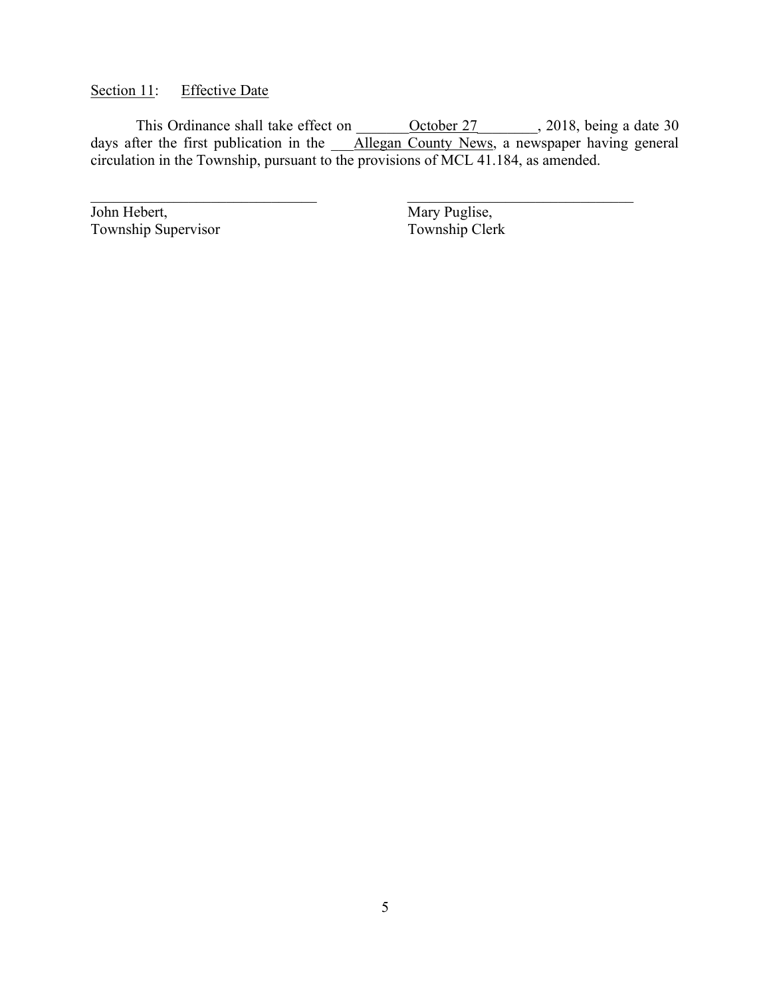Section 11: Effective Date

This Ordinance shall take effect on <u>October 27</u> 2018, being a date 30 days after the first publication in the **Allegan County News**, a newspaper having general circulation in the Township, pursuant to the provisions of MCL 41.184, as amended.

John Hebert,<br>
Township Supervisor<br>
Township Clerk<br>
Township Clerk Township Supervisor